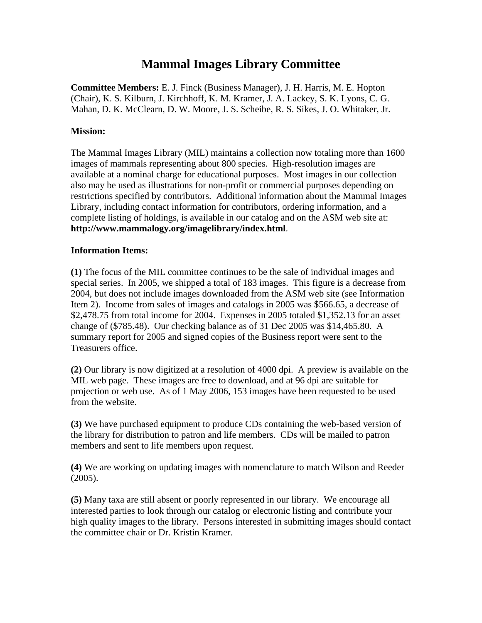## **Mammal Images Library Committee**

**Committee Members:** E. J. Finck (Business Manager), J. H. Harris, M. E. Hopton (Chair), K. S. Kilburn, J. Kirchhoff, K. M. Kramer, J. A. Lackey, S. K. Lyons, C. G. Mahan, D. K. McClearn, D. W. Moore, J. S. Scheibe, R. S. Sikes, J. O. Whitaker, Jr.

## **Mission:**

The Mammal Images Library (MIL) maintains a collection now totaling more than 1600 images of mammals representing about 800 species. High-resolution images are available at a nominal charge for educational purposes. Most images in our collection also may be used as illustrations for non-profit or commercial purposes depending on restrictions specified by contributors. Additional information about the Mammal Images Library, including contact information for contributors, ordering information, and a complete listing of holdings, is available in our catalog and on the ASM web site at: **http://www.mammalogy.org/imagelibrary/index.html**.

## **Information Items:**

**(1)** The focus of the MIL committee continues to be the sale of individual images and special series. In 2005, we shipped a total of 183 images. This figure is a decrease from 2004, but does not include images downloaded from the ASM web site (see Information Item 2). Income from sales of images and catalogs in 2005 was \$566.65, a decrease of \$2,478.75 from total income for 2004. Expenses in 2005 totaled \$1,352.13 for an asset change of (\$785.48). Our checking balance as of 31 Dec 2005 was \$14,465.80. A summary report for 2005 and signed copies of the Business report were sent to the Treasurers office.

**(2)** Our library is now digitized at a resolution of 4000 dpi. A preview is available on the MIL web page. These images are free to download, and at 96 dpi are suitable for projection or web use. As of 1 May 2006, 153 images have been requested to be used from the website.

**(3)** We have purchased equipment to produce CDs containing the web-based version of the library for distribution to patron and life members. CDs will be mailed to patron members and sent to life members upon request.

**(4)** We are working on updating images with nomenclature to match Wilson and Reeder (2005).

**(5)** Many taxa are still absent or poorly represented in our library. We encourage all interested parties to look through our catalog or electronic listing and contribute your high quality images to the library. Persons interested in submitting images should contact the committee chair or Dr. Kristin Kramer.